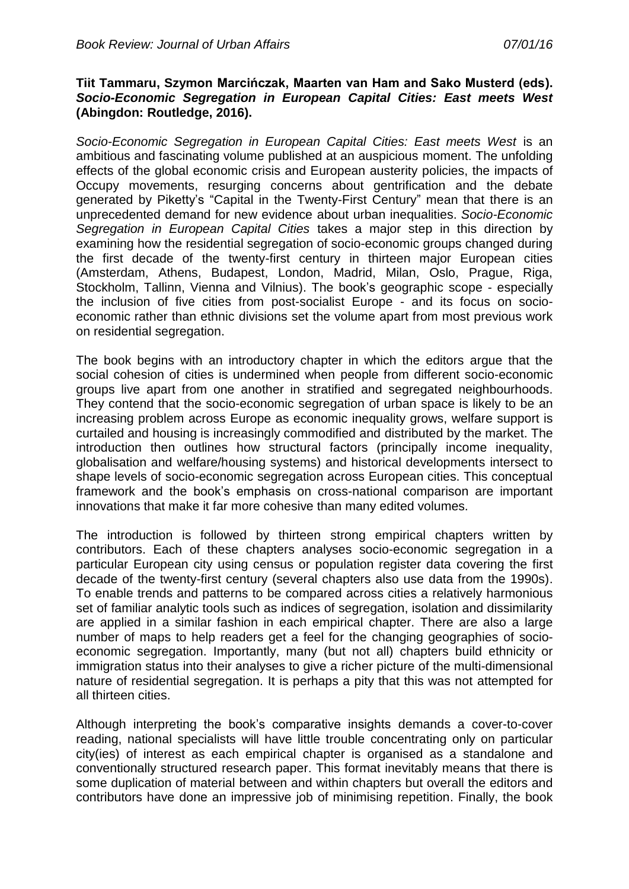## **Tiit Tammaru, Szymon Marcińczak, Maarten van Ham and Sako Musterd (eds).**  *Socio-Economic Segregation in European Capital Cities: East meets West* **(Abingdon: Routledge, 2016).**

*Socio-Economic Segregation in European Capital Cities: East meets West* is an ambitious and fascinating volume published at an auspicious moment. The unfolding effects of the global economic crisis and European austerity policies, the impacts of Occupy movements, resurging concerns about gentrification and the debate generated by Piketty's "Capital in the Twenty-First Century" mean that there is an unprecedented demand for new evidence about urban inequalities. *Socio-Economic Segregation in European Capital Cities* takes a major step in this direction by examining how the residential segregation of socio-economic groups changed during the first decade of the twenty-first century in thirteen major European cities (Amsterdam, Athens, Budapest, London, Madrid, Milan, Oslo, Prague, Riga, Stockholm, Tallinn, Vienna and Vilnius). The book's geographic scope - especially the inclusion of five cities from post-socialist Europe - and its focus on socioeconomic rather than ethnic divisions set the volume apart from most previous work on residential segregation.

The book begins with an introductory chapter in which the editors argue that the social cohesion of cities is undermined when people from different socio-economic groups live apart from one another in stratified and segregated neighbourhoods. They contend that the socio-economic segregation of urban space is likely to be an increasing problem across Europe as economic inequality grows, welfare support is curtailed and housing is increasingly commodified and distributed by the market. The introduction then outlines how structural factors (principally income inequality, globalisation and welfare/housing systems) and historical developments intersect to shape levels of socio-economic segregation across European cities. This conceptual framework and the book's emphasis on cross-national comparison are important innovations that make it far more cohesive than many edited volumes.

The introduction is followed by thirteen strong empirical chapters written by contributors. Each of these chapters analyses socio-economic segregation in a particular European city using census or population register data covering the first decade of the twenty-first century (several chapters also use data from the 1990s). To enable trends and patterns to be compared across cities a relatively harmonious set of familiar analytic tools such as indices of segregation, isolation and dissimilarity are applied in a similar fashion in each empirical chapter. There are also a large number of maps to help readers get a feel for the changing geographies of socioeconomic segregation. Importantly, many (but not all) chapters build ethnicity or immigration status into their analyses to give a richer picture of the multi-dimensional nature of residential segregation. It is perhaps a pity that this was not attempted for all thirteen cities.

Although interpreting the book's comparative insights demands a cover-to-cover reading, national specialists will have little trouble concentrating only on particular city(ies) of interest as each empirical chapter is organised as a standalone and conventionally structured research paper. This format inevitably means that there is some duplication of material between and within chapters but overall the editors and contributors have done an impressive job of minimising repetition. Finally, the book